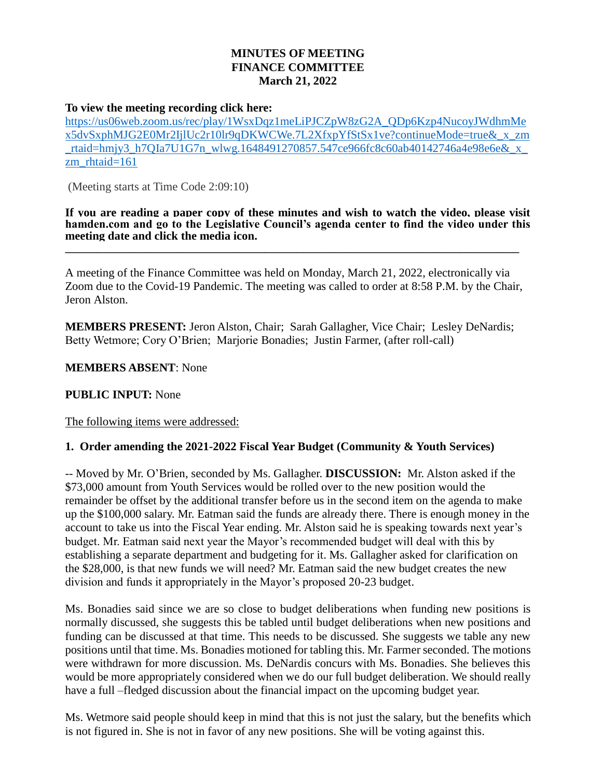## **MINUTES OF MEETING FINANCE COMMITTEE March 21, 2022**

### **To view the meeting recording click here:**

[https://us06web.zoom.us/rec/play/1WsxDqz1meLiPJCZpW8zG2A\\_QDp6Kzp4NucoyJWdhmMe](https://us06web.zoom.us/rec/play/1WsxDqz1meLiPJCZpW8zG2A_QDp6Kzp4NucoyJWdhmMex5dvSxphMJG2E0Mr2IjlUc2r10lr9qDKWCWe.7L2XfxpYfStSx1ve?continueMode=true&_x_zm_rtaid=hmjy3_h7QIa7U1G7n_wlwg.1648491270857.547ce966fc8c60ab40142746a4e98e6e&_x_zm_rhtaid=161) [x5dvSxphMJG2E0Mr2IjlUc2r10lr9qDKWCWe.7L2XfxpYfStSx1ve?continueMode=true&\\_x\\_zm](https://us06web.zoom.us/rec/play/1WsxDqz1meLiPJCZpW8zG2A_QDp6Kzp4NucoyJWdhmMex5dvSxphMJG2E0Mr2IjlUc2r10lr9qDKWCWe.7L2XfxpYfStSx1ve?continueMode=true&_x_zm_rtaid=hmjy3_h7QIa7U1G7n_wlwg.1648491270857.547ce966fc8c60ab40142746a4e98e6e&_x_zm_rhtaid=161) [\\_rtaid=hmjy3\\_h7QIa7U1G7n\\_wlwg.1648491270857.547ce966fc8c60ab40142746a4e98e6e&\\_x\\_](https://us06web.zoom.us/rec/play/1WsxDqz1meLiPJCZpW8zG2A_QDp6Kzp4NucoyJWdhmMex5dvSxphMJG2E0Mr2IjlUc2r10lr9qDKWCWe.7L2XfxpYfStSx1ve?continueMode=true&_x_zm_rtaid=hmjy3_h7QIa7U1G7n_wlwg.1648491270857.547ce966fc8c60ab40142746a4e98e6e&_x_zm_rhtaid=161) [zm\\_rhtaid=161](https://us06web.zoom.us/rec/play/1WsxDqz1meLiPJCZpW8zG2A_QDp6Kzp4NucoyJWdhmMex5dvSxphMJG2E0Mr2IjlUc2r10lr9qDKWCWe.7L2XfxpYfStSx1ve?continueMode=true&_x_zm_rtaid=hmjy3_h7QIa7U1G7n_wlwg.1648491270857.547ce966fc8c60ab40142746a4e98e6e&_x_zm_rhtaid=161)

(Meeting starts at Time Code 2:09:10)

**If you are reading a paper copy of these minutes and wish to watch the video, please visit hamden.com and go to the Legislative Council's agenda center to find the video under this meeting date and click the media icon. \_\_\_\_\_\_\_\_\_\_\_\_\_\_\_\_\_\_\_\_\_\_\_\_\_\_\_\_\_\_\_\_\_\_\_\_\_\_\_\_\_\_\_\_\_\_\_\_\_\_\_\_\_\_\_\_\_\_\_\_\_\_\_\_\_\_\_\_\_\_\_\_\_\_\_\_\_\_\_\_\_\_\_\_**

A meeting of the Finance Committee was held on Monday, March 21, 2022, electronically via Zoom due to the Covid-19 Pandemic. The meeting was called to order at 8:58 P.M. by the Chair, Jeron Alston.

**MEMBERS PRESENT:** Jeron Alston, Chair; Sarah Gallagher, Vice Chair; Lesley DeNardis; Betty Wetmore; Cory O'Brien; Marjorie Bonadies; Justin Farmer, (after roll-call)

**MEMBERS ABSENT**: None

### **PUBLIC INPUT:** None

The following items were addressed:

### **1. Order amending the 2021-2022 Fiscal Year Budget (Community & Youth Services)**

-- Moved by Mr. O'Brien, seconded by Ms. Gallagher. **DISCUSSION:** Mr. Alston asked if the \$73,000 amount from Youth Services would be rolled over to the new position would the remainder be offset by the additional transfer before us in the second item on the agenda to make up the \$100,000 salary. Mr. Eatman said the funds are already there. There is enough money in the account to take us into the Fiscal Year ending. Mr. Alston said he is speaking towards next year's budget. Mr. Eatman said next year the Mayor's recommended budget will deal with this by establishing a separate department and budgeting for it. Ms. Gallagher asked for clarification on the \$28,000, is that new funds we will need? Mr. Eatman said the new budget creates the new division and funds it appropriately in the Mayor's proposed 20-23 budget.

Ms. Bonadies said since we are so close to budget deliberations when funding new positions is normally discussed, she suggests this be tabled until budget deliberations when new positions and funding can be discussed at that time. This needs to be discussed. She suggests we table any new positions until that time. Ms. Bonadies motioned for tabling this. Mr. Farmer seconded. The motions were withdrawn for more discussion. Ms. DeNardis concurs with Ms. Bonadies. She believes this would be more appropriately considered when we do our full budget deliberation. We should really have a full –fledged discussion about the financial impact on the upcoming budget year.

Ms. Wetmore said people should keep in mind that this is not just the salary, but the benefits which is not figured in. She is not in favor of any new positions. She will be voting against this.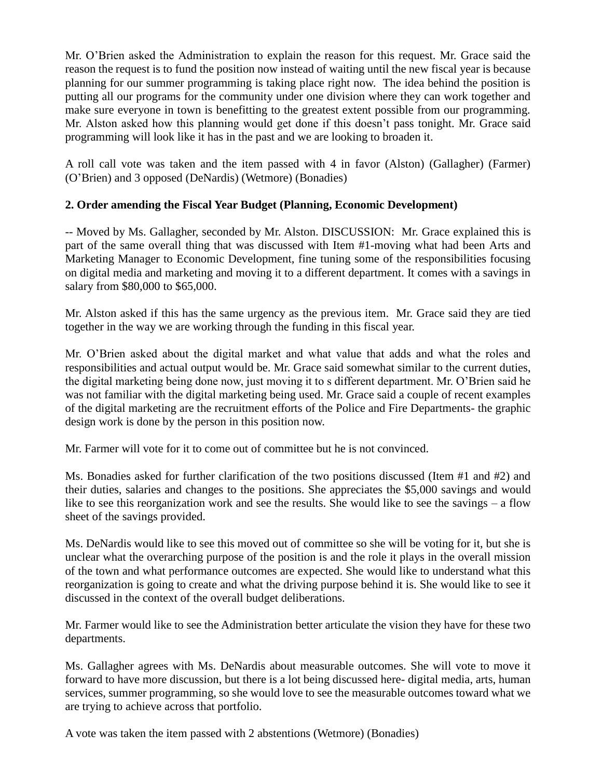Mr. O'Brien asked the Administration to explain the reason for this request. Mr. Grace said the reason the request is to fund the position now instead of waiting until the new fiscal year is because planning for our summer programming is taking place right now. The idea behind the position is putting all our programs for the community under one division where they can work together and make sure everyone in town is benefitting to the greatest extent possible from our programming. Mr. Alston asked how this planning would get done if this doesn't pass tonight. Mr. Grace said programming will look like it has in the past and we are looking to broaden it.

A roll call vote was taken and the item passed with 4 in favor (Alston) (Gallagher) (Farmer) (O'Brien) and 3 opposed (DeNardis) (Wetmore) (Bonadies)

# **2. Order amending the Fiscal Year Budget (Planning, Economic Development)**

-- Moved by Ms. Gallagher, seconded by Mr. Alston. DISCUSSION: Mr. Grace explained this is part of the same overall thing that was discussed with Item #1-moving what had been Arts and Marketing Manager to Economic Development, fine tuning some of the responsibilities focusing on digital media and marketing and moving it to a different department. It comes with a savings in salary from \$80,000 to \$65,000.

Mr. Alston asked if this has the same urgency as the previous item. Mr. Grace said they are tied together in the way we are working through the funding in this fiscal year.

Mr. O'Brien asked about the digital market and what value that adds and what the roles and responsibilities and actual output would be. Mr. Grace said somewhat similar to the current duties, the digital marketing being done now, just moving it to s different department. Mr. O'Brien said he was not familiar with the digital marketing being used. Mr. Grace said a couple of recent examples of the digital marketing are the recruitment efforts of the Police and Fire Departments- the graphic design work is done by the person in this position now.

Mr. Farmer will vote for it to come out of committee but he is not convinced.

Ms. Bonadies asked for further clarification of the two positions discussed (Item #1 and #2) and their duties, salaries and changes to the positions. She appreciates the \$5,000 savings and would like to see this reorganization work and see the results. She would like to see the savings – a flow sheet of the savings provided.

Ms. DeNardis would like to see this moved out of committee so she will be voting for it, but she is unclear what the overarching purpose of the position is and the role it plays in the overall mission of the town and what performance outcomes are expected. She would like to understand what this reorganization is going to create and what the driving purpose behind it is. She would like to see it discussed in the context of the overall budget deliberations.

Mr. Farmer would like to see the Administration better articulate the vision they have for these two departments.

Ms. Gallagher agrees with Ms. DeNardis about measurable outcomes. She will vote to move it forward to have more discussion, but there is a lot being discussed here- digital media, arts, human services, summer programming, so she would love to see the measurable outcomes toward what we are trying to achieve across that portfolio.

A vote was taken the item passed with 2 abstentions (Wetmore) (Bonadies)